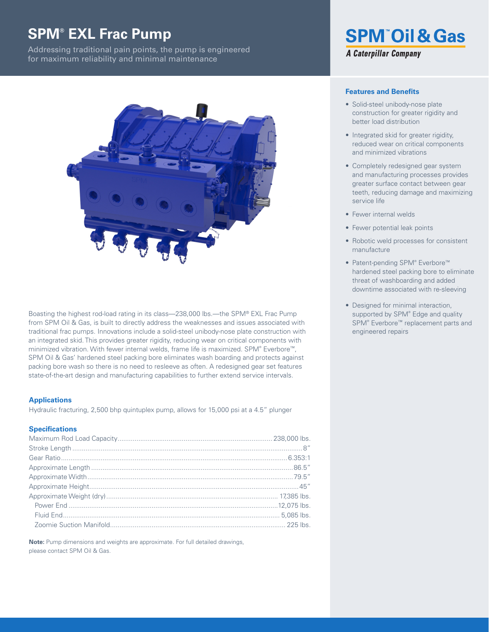# **SPM® EXL Frac Pump**

Addressing traditional pain points, the pump is engineered for maximum reliability and minimal maintenance



Boasting the highest rod-load rating in its class—238,000 lbs.—the SPM® EXL Frac Pump from SPM Oil & Gas, is built to directly address the weaknesses and issues associated with traditional frac pumps. Innovations include a solid-steel unibody-nose plate construction with an integrated skid. This provides greater rigidity, reducing wear on critical components with minimized vibration. With fewer internal welds, frame life is maximized. SPM® Everbore™, SPM Oil & Gas' hardened steel packing bore eliminates wash boarding and protects against packing bore wash so there is no need to resleeve as often. A redesigned gear set features state-of-the-art design and manufacturing capabilities to further extend service intervals.

#### **Applications**

Hydraulic fracturing, 2,500 bhp quintuplex pump, allows for 15,000 psi at a 4.5" plunger

#### **Specifications**

**Note:** Pump dimensions and weights are approximate. For full detailed drawings, please contact SPM Oil & Gas.

# **SPM<sup>®</sup>Oil & Gas A Caterpillar Company**

#### **Features and Benefits**

- Solid-steel unibody-nose plate construction for greater rigidity and better load distribution
- Integrated skid for greater rigidity, reduced wear on critical components and minimized vibrations
- Completely redesigned gear system and manufacturing processes provides greater surface contact between gear teeth, reducing damage and maximizing service life
- Fewer internal welds
- Fewer potential leak points
- Robotic weld processes for consistent manufacture
- Patent-pending SPM® Everbore™ hardened steel packing bore to eliminate threat of washboarding and added downtime associated with re-sleeving
- Designed for minimal interaction, supported by SPM® Edge and quality SPM<sup>®</sup> Everbore<sup>™</sup> replacement parts and engineered repairs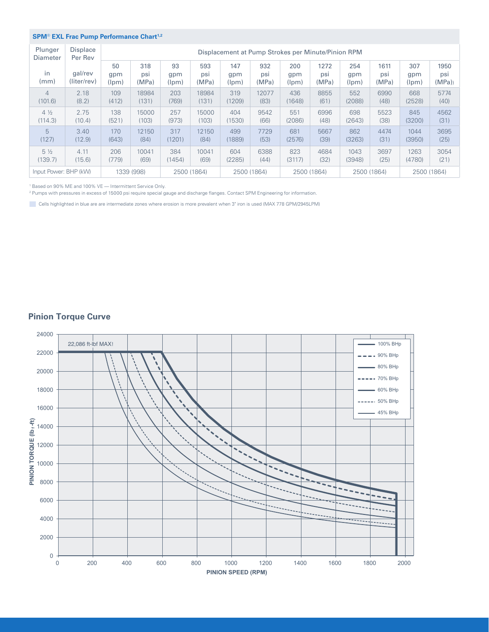### **SPM**® **EXL Frac Pump Performance Chart1,2**

| Plunger<br>Diameter   | <b>Displace</b><br>Per Rev<br>gal/rev<br>(liter/rev) | Displacement at Pump Strokes per Minute/Pinion RPM |                     |                    |                     |                     |                     |                     |                      |                     |                      |                     |                      |
|-----------------------|------------------------------------------------------|----------------------------------------------------|---------------------|--------------------|---------------------|---------------------|---------------------|---------------------|----------------------|---------------------|----------------------|---------------------|----------------------|
| in<br>(mm)            |                                                      | 50<br>gpm<br>(lpm)                                 | 318<br>psi<br>(MPa) | 93<br>gpm<br>(lpm) | 593<br>psi<br>(MPa) | 147<br>gpm<br>(lpm) | 932<br>psi<br>(MPa) | 200<br>gpm<br>(lpm) | 1272<br>psi<br>(MPa) | 254<br>gpm<br>(lpm) | 1611<br>psi<br>(MPa) | 307<br>gpm<br>(lpm) | 1950<br>psi<br>(MPa) |
| $\overline{4}$        | 2.18                                                 | 109                                                | 18984               | 203                | 18984               | 319                 | 12077               | 436                 | 8855                 | 552                 | 6990                 | 668                 | 5774                 |
| (101.6)               | (8.2)                                                | (412)                                              | (131)               | (769)              | (131)               | (1209)              | (83)                | (1648)              | (61)                 | (2088)              | (48)                 | (2528)              | (40)                 |
| $4\frac{1}{2}$        | 2.75                                                 | 138                                                | 15000               | 257                | 15000               | 404                 | 9542                | 551                 | 6996                 | 698                 | 5523                 | 845                 | 4562                 |
| (114.3)               | (10.4)                                               | (521)                                              | (103)               | (973)              | (103)               | (1530)              | (66)                | (2086)              | (48)                 | (2643)              | (38)                 | (3200)              | (31)                 |
| 5                     | 3.40                                                 | 170                                                | 12150               | 317                | 12150               | 499                 | 7729                | 681                 | 5667                 | 862                 | 4474                 | 1044                | 3695                 |
| (127)                 | (12.9)                                               | (643)                                              | (84)                | (1201)             | (84)                | (1889)              | (53)                | (2576)              | (39)                 | (3263)              | (31)                 | (3950)              | (25)                 |
| $5\frac{1}{2}$        | 4.11                                                 | 206                                                | 10041               | 384                | 10041               | 604                 | 6388                | 823                 | 4684                 | 1043                | 3697                 | 1263                | 3054                 |
| (139.7)               | (15.6)                                               | (779)                                              | (69)                | (1454)             | (69)                | (2285)              | (44)                | (3117)              | (32)                 | (3948)              | (25)                 | (4780)              | (21)                 |
| Input Power: BHP (kW) |                                                      | 1339 (998)<br>2500 (1864)                          |                     | 2500 (1864)        |                     | 2500 (1864)         |                     | 2500 (1864)         |                      | 2500 (1864)         |                      |                     |                      |

<sup>1</sup> Based on 90% ME and 100% VE - Intermittent Service Only.

2 Pumps with pressures in excess of 15000 psi require special gauge and discharge flanges. Contact SPM Engineering for information.

Cells highlighted in blue are are intermediate zones where erosion is more prevalent when 3" iron is used (MAX 778 GPM/2945LPM)

# **Pinion Torque Curve**

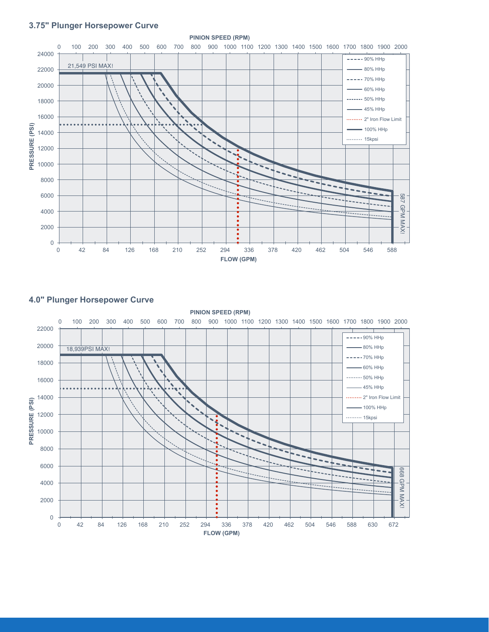# **3.75" Plunger Horsepower Curve**



# **4.0" Plunger Horsepower Curve**